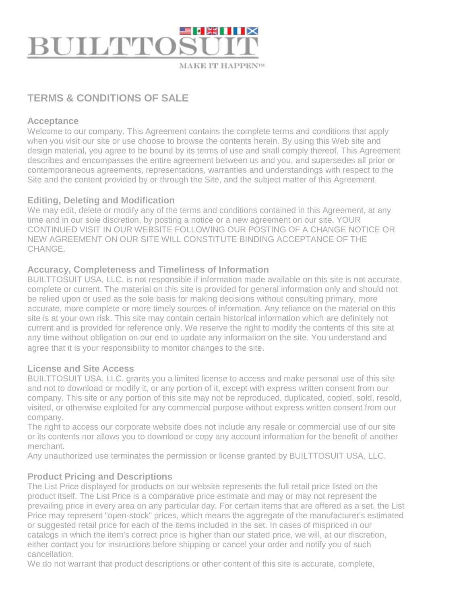

# **TERMS & CONDITIONS OF SALE**

#### **Acceptance**

Welcome to our company. This Agreement contains the complete terms and conditions that apply when you visit our site or use choose to browse the contents herein. By using this Web site and design material, you agree to be bound by its terms of use and shall comply thereof. This Agreement describes and encompasses the entire agreement between us and you, and supersedes all prior or contemporaneous agreements, representations, warranties and understandings with respect to the Site and the content provided by or through the Site, and the subject matter of this Agreement.

#### **Editing, Deleting and Modification**

We may edit, delete or modify any of the terms and conditions contained in this Agreement, at any time and in our sole discretion, by posting a notice or a new agreement on our site. YOUR CONTINUED VISIT IN OUR WEBSITE FOLLOWING OUR POSTING OF A CHANGE NOTICE OR NEW AGREEMENT ON OUR SITE WILL CONSTITUTE BINDING ACCEPTANCE OF THE CHANGE.

# **Accuracy, Completeness and Timeliness of Information**

BUILTTOSUIT USA, LLC. is not responsible if information made available on this site is not accurate, complete or current. The material on this site is provided for general information only and should not be relied upon or used as the sole basis for making decisions without consulting primary, more accurate, more complete or more timely sources of information. Any reliance on the material on this site is at your own risk. This site may contain certain historical information which are definitely not current and is provided for reference only. We reserve the right to modify the contents of this site at any time without obligation on our end to update any information on the site. You understand and agree that it is your responsibility to monitor changes to the site.

# **License and Site Access**

BUILTTOSUIT USA, LLC. grants you a limited license to access and make personal use of this site and not to download or modify it, or any portion of it, except with express written consent from our company. This site or any portion of this site may not be reproduced, duplicated, copied, sold, resold, visited, or otherwise exploited for any commercial purpose without express written consent from our company.

The right to access our corporate website does not include any resale or commercial use of our site or its contents nor allows you to download or copy any account information for the benefit of another merchant.

Any unauthorized use terminates the permission or license granted by BUILTTOSUIT USA, LLC.

# **Product Pricing and Descriptions**

The List Price displayed for products on our website represents the full retail price listed on the product itself. The List Price is a comparative price estimate and may or may not represent the prevailing price in every area on any particular day. For certain items that are offered as a set, the List Price may represent "open-stock" prices, which means the aggregate of the manufacturer's estimated or suggested retail price for each of the items included in the set. In cases of mispriced in our catalogs in which the item's correct price is higher than our stated price, we will, at our discretion, either contact you for instructions before shipping or cancel your order and notify you of such cancellation.

We do not warrant that product descriptions or other content of this site is accurate, complete,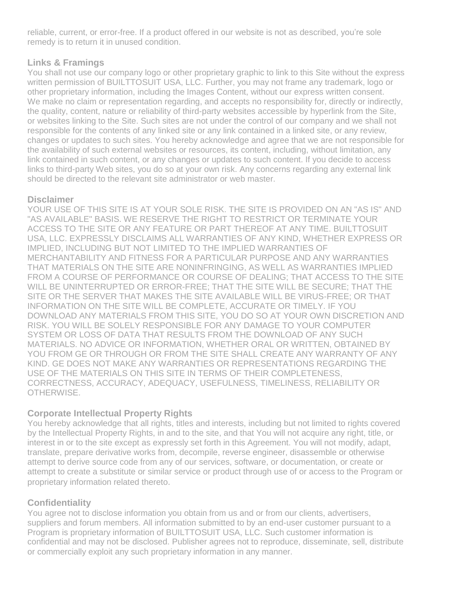reliable, current, or error-free. If a product offered in our website is not as described, you're sole remedy is to return it in unused condition.

# **Links & Framings**

You shall not use our company logo or other proprietary graphic to link to this Site without the express written permission of BUILTTOSUIT USA, LLC. Further, you may not frame any trademark, logo or other proprietary information, including the Images Content, without our express written consent. We make no claim or representation regarding, and accepts no responsibility for, directly or indirectly, the quality, content, nature or reliability of third-party websites accessible by hyperlink from the Site, or websites linking to the Site. Such sites are not under the control of our company and we shall not responsible for the contents of any linked site or any link contained in a linked site, or any review, changes or updates to such sites. You hereby acknowledge and agree that we are not responsible for the availability of such external websites or resources, its content, including, without limitation, any link contained in such content, or any changes or updates to such content. If you decide to access links to third-party Web sites, you do so at your own risk. Any concerns regarding any external link should be directed to the relevant site administrator or web master.

#### **Disclaimer**

YOUR USE OF THIS SITE IS AT YOUR SOLE RISK. THE SITE IS PROVIDED ON AN "AS IS" AND "AS AVAILABLE" BASIS. WE RESERVE THE RIGHT TO RESTRICT OR TERMINATE YOUR ACCESS TO THE SITE OR ANY FEATURE OR PART THEREOF AT ANY TIME. BUILTTOSUIT USA, LLC. EXPRESSLY DISCLAIMS ALL WARRANTIES OF ANY KIND, WHETHER EXPRESS OR IMPLIED, INCLUDING BUT NOT LIMITED TO THE IMPLIED WARRANTIES OF MERCHANTABILITY AND FITNESS FOR A PARTICULAR PURPOSE AND ANY WARRANTIES THAT MATERIALS ON THE SITE ARE NONINFRINGING, AS WELL AS WARRANTIES IMPLIED FROM A COURSE OF PERFORMANCE OR COURSE OF DEALING; THAT ACCESS TO THE SITE WILL BE UNINTERRUPTED OR ERROR-FREE; THAT THE SITE WILL BE SECURE; THAT THE SITE OR THE SERVER THAT MAKES THE SITE AVAILABLE WILL BE VIRUS-FREE; OR THAT INFORMATION ON THE SITE WILL BE COMPLETE, ACCURATE OR TIMELY. IF YOU DOWNLOAD ANY MATERIALS FROM THIS SITE, YOU DO SO AT YOUR OWN DISCRETION AND RISK. YOU WILL BE SOLELY RESPONSIBLE FOR ANY DAMAGE TO YOUR COMPUTER SYSTEM OR LOSS OF DATA THAT RESULTS FROM THE DOWNLOAD OF ANY SUCH MATERIALS. NO ADVICE OR INFORMATION, WHETHER ORAL OR WRITTEN, OBTAINED BY YOU FROM GE OR THROUGH OR FROM THE SITE SHALL CREATE ANY WARRANTY OF ANY KIND. GE DOES NOT MAKE ANY WARRANTIES OR REPRESENTATIONS REGARDING THE USE OF THE MATERIALS ON THIS SITE IN TERMS OF THEIR COMPLETENESS, CORRECTNESS, ACCURACY, ADEQUACY, USEFULNESS, TIMELINESS, RELIABILITY OR OTHERWISE.

# **Corporate Intellectual Property Rights**

You hereby acknowledge that all rights, titles and interests, including but not limited to rights covered by the Intellectual Property Rights, in and to the site, and that You will not acquire any right, title, or interest in or to the site except as expressly set forth in this Agreement. You will not modify, adapt, translate, prepare derivative works from, decompile, reverse engineer, disassemble or otherwise attempt to derive source code from any of our services, software, or documentation, or create or attempt to create a substitute or similar service or product through use of or access to the Program or proprietary information related thereto.

# **Confidentiality**

You agree not to disclose information you obtain from us and or from our clients, advertisers, suppliers and forum members. All information submitted to by an end-user customer pursuant to a Program is proprietary information of BUILTTOSUIT USA, LLC. Such customer information is confidential and may not be disclosed. Publisher agrees not to reproduce, disseminate, sell, distribute or commercially exploit any such proprietary information in any manner.